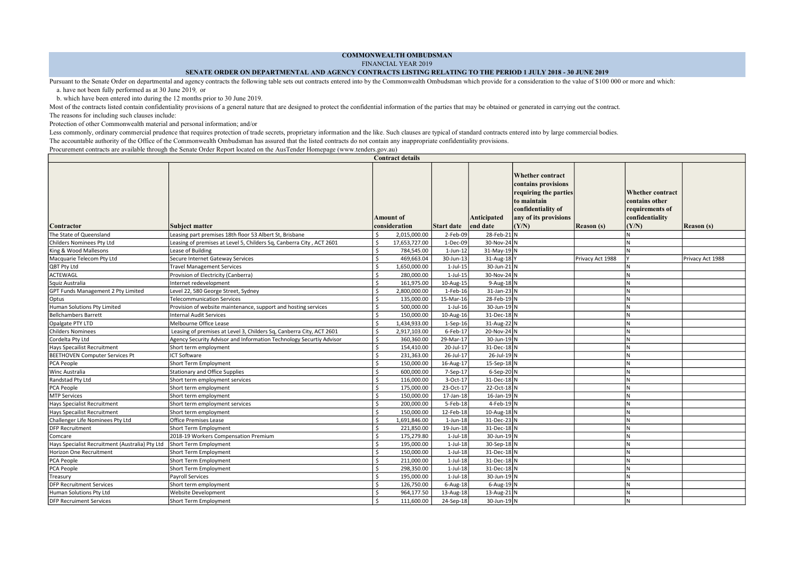## COMMONWEALTH OMBUDSMAN

FINANCIAL YEAR 2019

## SENATE ORDER ON DEPARTMENTAL AND AGENCY CONTRACTS LISTING RELATING TO THE PERIOD 1 JULY 2018 - 30 JUNE 2019

Contract details

Pursuant to the Senate Order on departmental and agency contracts the following table sets out contracts entered into by the Commonwealth Ombudsman which provide for a consideration to the value of \$100 000 or more and whi a. have not been fully performed as at 30 June 2019, or

b. which have been entered into during the 12 months prior to 30 June 2019.

Most of the contracts listed contain confidentiality provisions of a general nature that are designed to protect the confidential information of the parties that may be obtained or generated in carrying out the contract.

The reasons for including such clauses include:

Protection of other Commonwealth material and personal information; and/or

Less commonly, ordinary commercial prudence that requires protection of trade secrets, proprietary information and the like. Such clauses are typical of standard contracts entered into by large commercial bodies. The accountable authority of the Office of the Commonwealth Ombudsman has assured that the listed contracts do not contain any inappropriate confidentiality provisions.

Procurement contracts are available through the Senate Order Report located on the AusTender Homepage (www.tenders.gov.au)

|                                                 |                                                                      |         | contract actual                   |                   |                         |                                                                                                                                         |                   |                                                                                          |                   |
|-------------------------------------------------|----------------------------------------------------------------------|---------|-----------------------------------|-------------------|-------------------------|-----------------------------------------------------------------------------------------------------------------------------------------|-------------------|------------------------------------------------------------------------------------------|-------------------|
| Contractor                                      | <b>Subject matter</b>                                                |         | <b>Amount of</b><br>consideration | <b>Start date</b> | Anticipated<br>end date | Whether contract<br>contains provisions<br>requiring the parties<br>to maintain<br>confidentiality of<br>any of its provisions<br>(Y/N) | <b>Reason</b> (s) | <b>Whether</b> contract<br>contains other<br>requirements of<br>confidentiality<br>(Y/N) | <b>Reason</b> (s) |
| The State of Queensland                         | Leasing part premises 18th floor 53 Albert St, Brisbane              |         | 2,015,000.00                      | 2-Feb-09          | 28-Feb-21 N             |                                                                                                                                         |                   |                                                                                          |                   |
| Childers Nominees Pty Ltd                       | Leasing of premises at Level 5, Childers Sq, Canberra City, ACT 2601 | Ś.      | 17,653,727.00                     | 1-Dec-09          | 30-Nov-24 N             |                                                                                                                                         |                   |                                                                                          |                   |
| King & Wood Mallesons                           | Lease of Building                                                    | \$      | 784,545.00                        | $1$ -Jun- $12$    | $31$ -May-19 N          |                                                                                                                                         |                   |                                                                                          |                   |
| Macquarie Telecom Pty Ltd                       | Secure Internet Gateway Services                                     |         | 469,663.04                        | 30-Jun-13         | 31-Aug-18Y              |                                                                                                                                         | Privacy Act 1988  |                                                                                          | Privacy Act 1988  |
| QBT Pty Ltd                                     | <b>Travel Management Services</b>                                    | \$.     | 1,650,000.00                      | $1$ -Jul- $15$    | 30-Jun-21 N             |                                                                                                                                         |                   |                                                                                          |                   |
| ACTEWAGL                                        | Provision of Electricity (Canberra)                                  | \$.     | 280,000.00                        | $1$ -Jul- $15$    | 30-Nov-24 N             |                                                                                                                                         |                   |                                                                                          |                   |
| Squiz Australia                                 | Internet redevelopment                                               | \$      | 161,975.00                        | 10-Aug-15         | $9-Aug-18$ N            |                                                                                                                                         |                   |                                                                                          |                   |
| GPT Funds Management 2 Pty Limited              | Level 22, 580 George Street, Sydney                                  |         | 2,800,000.00                      | 1-Feb-16          | $31$ -Jan-23 N          |                                                                                                                                         |                   |                                                                                          |                   |
| Optus                                           | <b>Telecommunication Services</b>                                    | \$      | 135,000.00                        | 15-Mar-16         | 28-Feb-19 N             |                                                                                                                                         |                   | N                                                                                        |                   |
| Human Solutions Pty Limited                     | Provision of website maintenance, support and hosting services       | \$      | 500,000.00                        | $1$ -Jul- $16$    | 30-Jun-19 N             |                                                                                                                                         |                   |                                                                                          |                   |
| <b>Bellchambers Barrett</b>                     | <b>Internal Audit Services</b>                                       |         | 150,000.00                        | 10-Aug-16         | $31$ -Dec-18 N          |                                                                                                                                         |                   |                                                                                          |                   |
| Opalgate PTY LTD                                | Melbourne Office Lease                                               |         | 1,434,933.00                      | $1-Sep-16$        | 31-Aug-22 N             |                                                                                                                                         |                   |                                                                                          |                   |
| <b>Childers Nominees</b>                        | Leasing of premises at Level 3, Childers Sq, Canberra City, ACT 2601 | Ŝ.      | 2,917,103.00                      | 6-Feb-17          | 20-Nov-24 N             |                                                                                                                                         |                   | N                                                                                        |                   |
| Cordelta Pty Ltd                                | Agency Security Advisor and Information Technology Securtiy Advisor  | Ŝ.      | 360,360.00                        | 29-Mar-17         | 30-Jun-19 N             |                                                                                                                                         |                   | N                                                                                        |                   |
| Hays Specailist Recruitment                     | Short term employment                                                |         | 154,410.00                        | 20-Jul-17         | $31$ -Dec-18 N          |                                                                                                                                         |                   |                                                                                          |                   |
| <b>BEETHOVEN Computer Services Pt</b>           | <b>ICT Software</b>                                                  |         | 231,363.00                        | 26-Jul-17         | 26-Jul-19 N             |                                                                                                                                         |                   |                                                                                          |                   |
| PCA People                                      | <b>Short Term Employment</b>                                         | \$      | 150,000.00                        | 16-Aug-17         | $15-$ Sep- $18$ N       |                                                                                                                                         |                   | N                                                                                        |                   |
| Winc Australia                                  | <b>Stationary and Office Supplies</b>                                | \$      | 600,000.00                        | 7-Sep-17          | $6-$ Sep $-20$ N        |                                                                                                                                         |                   |                                                                                          |                   |
| Randstad Pty Ltd                                | Short term employment services                                       | \$      | 116,000.00                        | 3-Oct-17          | $31$ -Dec-18 N          |                                                                                                                                         |                   |                                                                                          |                   |
| PCA People                                      | Short term employment                                                |         | 175.000.00                        | 23-Oct-17         | 22-Oct-18 N             |                                                                                                                                         |                   |                                                                                          |                   |
| <b>MTP Services</b>                             | Short term employment                                                | \$      | 150,000.00                        | 17-Jan-18         | $16$ -Jan-19 N          |                                                                                                                                         |                   | N                                                                                        |                   |
| Hays Specialist Recruitment                     | Short term employment services                                       | \$.     | 200,000.00                        | 5-Feb-18          | $4$ -Feb-19 $\vert$ N   |                                                                                                                                         |                   |                                                                                          |                   |
| Hays Specailist Recruitment                     | Short term employment                                                |         | 150,000.00                        | 12-Feb-18         | 10-Aug-18 $ N $         |                                                                                                                                         |                   |                                                                                          |                   |
| Challenger Life Nominees Pty Ltd                | Office Premises Lease                                                |         | 1,691,846.00                      | $1$ -Jun- $18$    | $31$ -Dec-23 N          |                                                                                                                                         |                   |                                                                                          |                   |
| <b>DFP Recruitment</b>                          | Short Term Employment                                                | $\zeta$ | 221,850.00                        | 19-Jun-18         | $31$ -Dec-18 N          |                                                                                                                                         |                   |                                                                                          |                   |
| Comcare                                         | 2018-19 Workers Compensation Premium                                 | \$      | 175,279.80                        | $1$ -Jul- $18$    | 30-Jun-19 N             |                                                                                                                                         |                   |                                                                                          |                   |
| Hays Specialist Recruitment (Australia) Pty Ltd | Short Term Employment                                                |         | 195,000.00                        | $1$ -Jul- $18$    | 30-Sep-18 N             |                                                                                                                                         |                   |                                                                                          |                   |
| Horizon One Recruitment                         | Short Term Employment                                                |         | 150,000.00                        | $1$ -Jul- $18$    | $31$ -Dec-18 N          |                                                                                                                                         |                   |                                                                                          |                   |
| PCA People                                      | <b>Short Term Employment</b>                                         | \$      | 211,000.00                        | $1$ -Jul- $18$    | $31$ -Dec-18 N          |                                                                                                                                         |                   | N                                                                                        |                   |
| PCA People                                      | <b>Short Term Employment</b>                                         | \$.     | 298,350.00                        | $1$ -Jul- $18$    | $31$ -Dec-18 N          |                                                                                                                                         |                   | N                                                                                        |                   |
| Treasury                                        | Payroll Services                                                     |         | 195,000.00                        | $1$ -Jul- $18$    | 30-Jun-19 N             |                                                                                                                                         |                   |                                                                                          |                   |
| <b>DFP Recruitment Services</b>                 | Short term employment                                                |         | 126,750.00                        | $6$ -Aug-18       | $6$ -Aug-19 N           |                                                                                                                                         |                   |                                                                                          |                   |
| Human Solutions Pty Ltd                         | Website Development                                                  |         | 964,177.50                        | 13-Aug-18         | 13-Aug-21 $ N $         |                                                                                                                                         |                   |                                                                                          |                   |
| <b>DFP Recruiment Services</b>                  | <b>Short Term Employment</b>                                         |         | 111,600.00                        | 24-Sep-18         | 30-Jun-19 N             |                                                                                                                                         |                   |                                                                                          |                   |